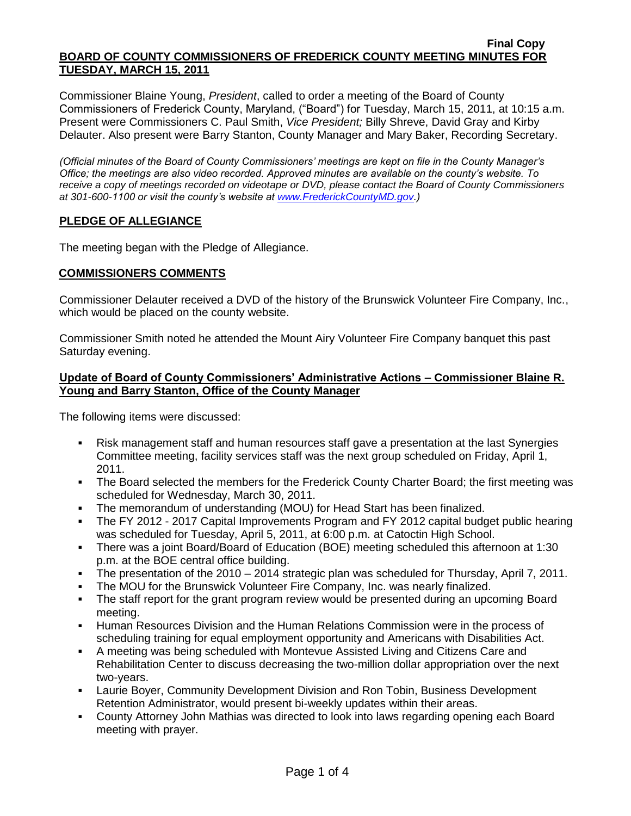#### **Final Copy BOARD OF COUNTY COMMISSIONERS OF FREDERICK COUNTY MEETING MINUTES FOR TUESDAY, MARCH 15, 2011**

Commissioner Blaine Young, *President*, called to order a meeting of the Board of County Commissioners of Frederick County, Maryland, ("Board") for Tuesday, March 15, 2011, at 10:15 a.m. Present were Commissioners C. Paul Smith, *Vice President;* Billy Shreve, David Gray and Kirby Delauter. Also present were Barry Stanton, County Manager and Mary Baker, Recording Secretary.

*(Official minutes of the Board of County Commissioners' meetings are kept on file in the County Manager's Office; the meetings are also video recorded. Approved minutes are available on the county's website. To receive a copy of meetings recorded on videotape or DVD, please contact the Board of County Commissioners at 301-600-1100 or visit the county's website at [www.FrederickCountyMD.gov.](http://www.frederickcountymd.gov/))*

# **PLEDGE OF ALLEGIANCE**

The meeting began with the Pledge of Allegiance.

# **COMMISSIONERS COMMENTS**

Commissioner Delauter received a DVD of the history of the Brunswick Volunteer Fire Company, Inc., which would be placed on the county website.

Commissioner Smith noted he attended the Mount Airy Volunteer Fire Company banquet this past Saturday evening.

# **Update of Board of County Commissioners' Administrative Actions – Commissioner Blaine R. Young and Barry Stanton, Office of the County Manager**

The following items were discussed:

- Risk management staff and human resources staff gave a presentation at the last Synergies Committee meeting, facility services staff was the next group scheduled on Friday, April 1, 2011.
- The Board selected the members for the Frederick County Charter Board; the first meeting was scheduled for Wednesday, March 30, 2011.
- The memorandum of understanding (MOU) for Head Start has been finalized.
- The FY 2012 2017 Capital Improvements Program and FY 2012 capital budget public hearing was scheduled for Tuesday, April 5, 2011, at 6:00 p.m. at Catoctin High School.
- There was a joint Board/Board of Education (BOE) meeting scheduled this afternoon at 1:30 p.m. at the BOE central office building.
- The presentation of the 2010 2014 strategic plan was scheduled for Thursday, April 7, 2011.
- The MOU for the Brunswick Volunteer Fire Company, Inc. was nearly finalized.
- The staff report for the grant program review would be presented during an upcoming Board meeting.
- Human Resources Division and the Human Relations Commission were in the process of scheduling training for equal employment opportunity and Americans with Disabilities Act.
- A meeting was being scheduled with Montevue Assisted Living and Citizens Care and Rehabilitation Center to discuss decreasing the two-million dollar appropriation over the next two-years.
- Laurie Boyer, Community Development Division and Ron Tobin, Business Development Retention Administrator, would present bi-weekly updates within their areas.
- County Attorney John Mathias was directed to look into laws regarding opening each Board meeting with prayer.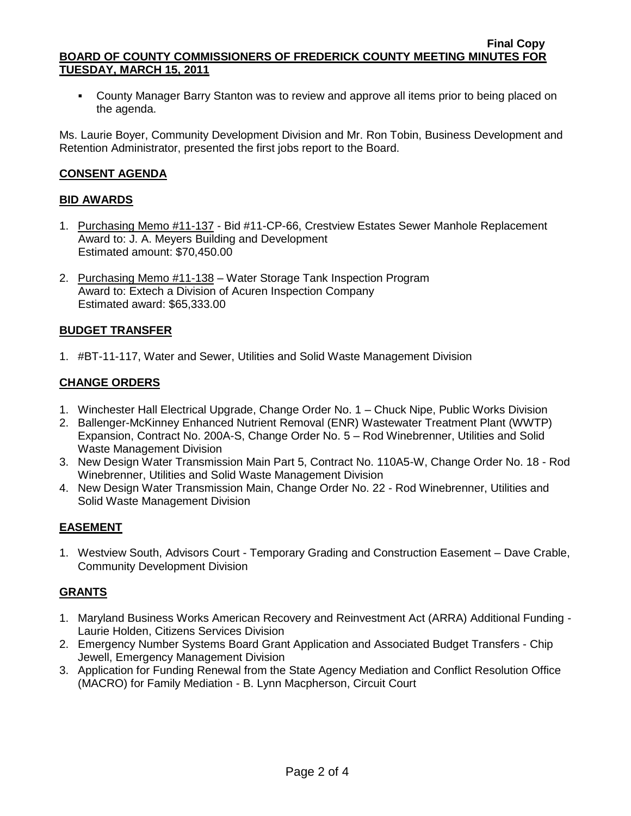County Manager Barry Stanton was to review and approve all items prior to being placed on the agenda.

Ms. Laurie Boyer, Community Development Division and Mr. Ron Tobin, Business Development and Retention Administrator, presented the first jobs report to the Board.

# **CONSENT AGENDA**

# **BID AWARDS**

- 1. Purchasing Memo #11-137 Bid #11-CP-66, Crestview Estates Sewer Manhole Replacement Award to: J. A. Meyers Building and Development Estimated amount: \$70,450.00
- 2. Purchasing Memo #11-138 Water Storage Tank Inspection Program Award to: Extech a Division of Acuren Inspection Company Estimated award: \$65,333.00

# **BUDGET TRANSFER**

1. #BT-11-117, Water and Sewer, Utilities and Solid Waste Management Division

# **CHANGE ORDERS**

- 1. Winchester Hall Electrical Upgrade, Change Order No. 1 Chuck Nipe, Public Works Division
- 2. Ballenger-McKinney Enhanced Nutrient Removal (ENR) Wastewater Treatment Plant (WWTP) Expansion, Contract No. 200A-S, Change Order No. 5 – Rod Winebrenner, Utilities and Solid Waste Management Division
- 3. New Design Water Transmission Main Part 5, Contract No. 110A5-W, Change Order No. 18 Rod Winebrenner, Utilities and Solid Waste Management Division
- 4. New Design Water Transmission Main, Change Order No. 22 Rod Winebrenner, Utilities and Solid Waste Management Division

# **EASEMENT**

1. Westview South, Advisors Court - Temporary Grading and Construction Easement – Dave Crable, Community Development Division

# **GRANTS**

- 1. Maryland Business Works American Recovery and Reinvestment Act (ARRA) Additional Funding Laurie Holden, Citizens Services Division
- 2. Emergency Number Systems Board Grant Application and Associated Budget Transfers Chip Jewell, Emergency Management Division
- 3. Application for Funding Renewal from the State Agency Mediation and Conflict Resolution Office (MACRO) for Family Mediation - B. Lynn Macpherson, Circuit Court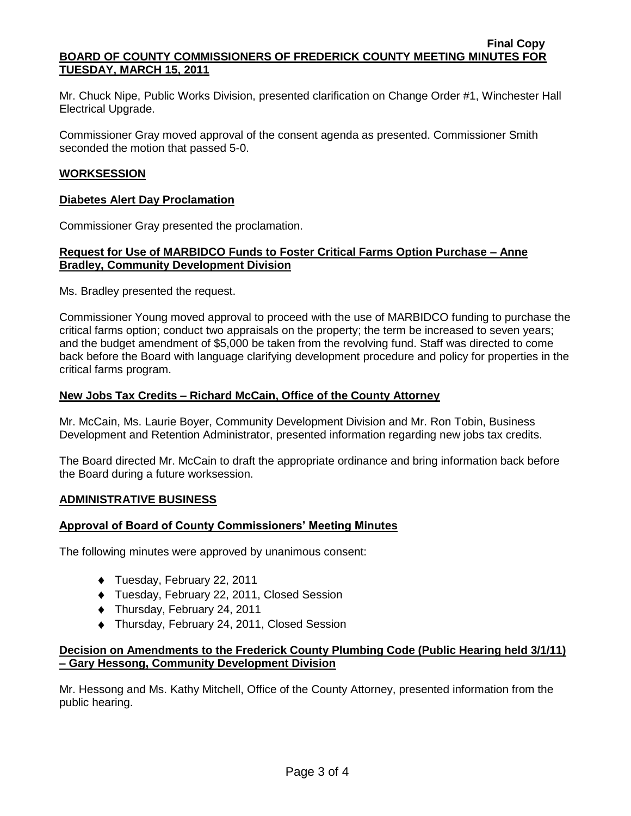#### **Final Copy BOARD OF COUNTY COMMISSIONERS OF FREDERICK COUNTY MEETING MINUTES FOR TUESDAY, MARCH 15, 2011**

Mr. Chuck Nipe, Public Works Division, presented clarification on Change Order #1, Winchester Hall Electrical Upgrade.

Commissioner Gray moved approval of the consent agenda as presented. Commissioner Smith seconded the motion that passed 5-0.

### **WORKSESSION**

#### **Diabetes Alert Day Proclamation**

Commissioner Gray presented the proclamation.

### **Request for Use of MARBIDCO Funds to Foster Critical Farms Option Purchase – Anne Bradley, Community Development Division**

Ms. Bradley presented the request.

Commissioner Young moved approval to proceed with the use of MARBIDCO funding to purchase the critical farms option; conduct two appraisals on the property; the term be increased to seven years; and the budget amendment of \$5,000 be taken from the revolving fund. Staff was directed to come back before the Board with language clarifying development procedure and policy for properties in the critical farms program.

### **New Jobs Tax Credits – Richard McCain, Office of the County Attorney**

Mr. McCain, Ms. Laurie Boyer, Community Development Division and Mr. Ron Tobin, Business Development and Retention Administrator, presented information regarding new jobs tax credits.

The Board directed Mr. McCain to draft the appropriate ordinance and bring information back before the Board during a future worksession.

#### **ADMINISTRATIVE BUSINESS**

#### **Approval of Board of County Commissioners' Meeting Minutes**

The following minutes were approved by unanimous consent:

- ◆ Tuesday, February 22, 2011
- Tuesday, February 22, 2011, Closed Session
- ◆ Thursday, February 24, 2011
- ◆ Thursday, February 24, 2011, Closed Session

### **Decision on Amendments to the Frederick County Plumbing Code (Public Hearing held 3/1/11) – Gary Hessong, Community Development Division**

Mr. Hessong and Ms. Kathy Mitchell, Office of the County Attorney, presented information from the public hearing.